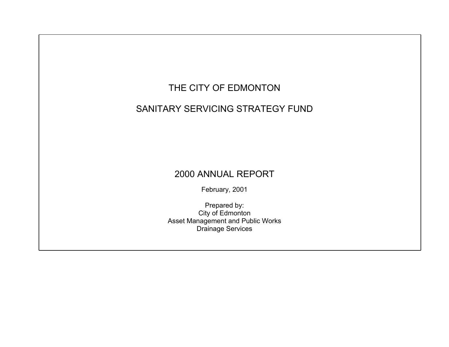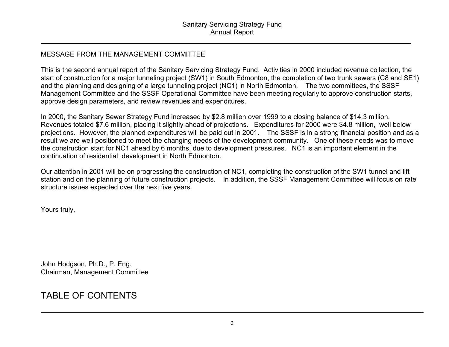### MESSAGE FROM THE MANAGEMENT COMMITTEE

This is the second annual report of the Sanitary Servicing Strategy Fund. Activities in 2000 included revenue collection, the start of construction for a major tunneling project (SW1) in South Edmonton, the completion of two trunk sewers (C8 and SE1) and the planning and designing of a large tunneling project (NC1) in North Edmonton. The two committees, the SSSF Management Committee and the SSSF Operational Committee have been meeting regularly to approve construction starts, approve design parameters, and review revenues and expenditures.

In 2000, the Sanitary Sewer Strategy Fund increased by \$2.8 million over 1999 to a closing balance of \$14.3 million. Revenues totaled \$7.6 million, placing it slightly ahead of projections. Expenditures for 2000 were \$4.8 million, well below projections. However, the planned expenditures will be paid out in 2001. The SSSF is in a strong financial position and as a result we are well positioned to meet the changing needs of the development community. One of these needs was to move the construction start for NC1 ahead by 6 months, due to development pressures. NC1 is an important element in the continuation of residential development in North Edmonton.

Our attention in 2001 will be on progressing the construction of NC1, completing the construction of the SW1 tunnel and lift station and on the planning of future construction projects. In addition, the SSSF Management Committee will focus on rate structure issues expected over the next five years.

Yours truly,

John Hodgson, Ph.D., P. Eng. Chairman, Management Committee

# TABLE OF CONTENTS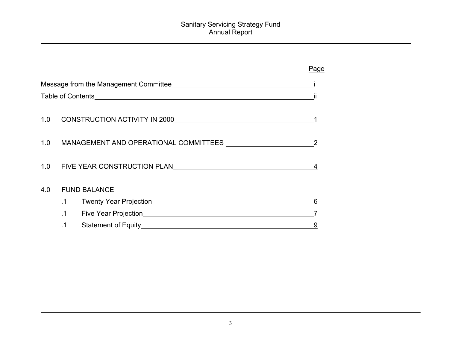|     |           |                                                                   | Page |  |  |
|-----|-----------|-------------------------------------------------------------------|------|--|--|
|     |           |                                                                   |      |  |  |
|     | Ш         |                                                                   |      |  |  |
| 1.0 |           |                                                                   |      |  |  |
|     |           |                                                                   |      |  |  |
| 1.0 |           | MANAGEMENT AND OPERATIONAL COMMITTEES 2                           |      |  |  |
| 1.0 |           | FIVE YEAR CONSTRUCTION PLAN                                       | 4    |  |  |
| 4.0 |           | <b>FUND BALANCE</b>                                               |      |  |  |
|     | $\cdot$ 1 | Twenty Year Projection <b>Example 2018</b> Twenty Year Projection | 6    |  |  |
|     | $\cdot$ 1 | Five Year Projection <b>Example 2018</b>                          |      |  |  |
|     |           | <b>Statement of Equity</b>                                        | 9    |  |  |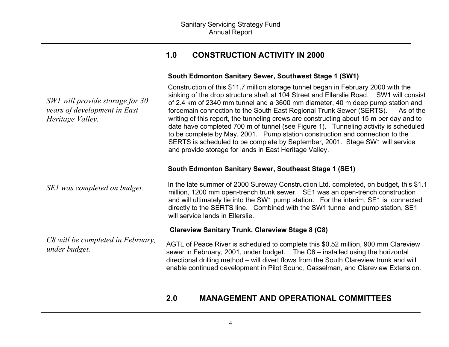### **1.0 CONSTRUCTION ACTIVITY IN 2000**

### **South Edmonton Sanitary Sewer, Southwest Stage 1 (SW1)**

| SW1 will provide storage for 30<br>years of development in East<br>Heritage Valley. | Construction of this \$11.7 million storage tunnel began in February 2000 with the<br>sinking of the drop structure shaft at 104 Street and Ellerslie Road. SW1 will consist<br>of 2.4 km of 2340 mm tunnel and a 3600 mm diameter, 40 m deep pump station and<br>forcemain connection to the South East Regional Trunk Sewer (SERTS).<br>As of the<br>writing of this report, the tunneling crews are constructing about 15 m per day and to<br>date have completed 700 m of tunnel (see Figure 1). Tunneling activity is scheduled<br>to be complete by May, 2001. Pump station construction and connection to the<br>SERTS is scheduled to be complete by September, 2001. Stage SW1 will service<br>and provide storage for lands in East Heritage Valley. |
|-------------------------------------------------------------------------------------|----------------------------------------------------------------------------------------------------------------------------------------------------------------------------------------------------------------------------------------------------------------------------------------------------------------------------------------------------------------------------------------------------------------------------------------------------------------------------------------------------------------------------------------------------------------------------------------------------------------------------------------------------------------------------------------------------------------------------------------------------------------|
| SEI was completed on budget.                                                        | South Edmonton Sanitary Sewer, Southeast Stage 1 (SE1)<br>In the late summer of 2000 Sureway Construction Ltd. completed, on budget, this \$1.1                                                                                                                                                                                                                                                                                                                                                                                                                                                                                                                                                                                                                |
|                                                                                     | million, 1200 mm open-trench trunk sewer. SE1 was an open-trench construction<br>and will ultimately tie into the SW1 pump station. For the interim, SE1 is connected<br>directly to the SERTS line. Combined with the SW1 tunnel and pump station, SE1<br>will service lands in Ellerslie.                                                                                                                                                                                                                                                                                                                                                                                                                                                                    |
|                                                                                     | <b>Clareview Sanitary Trunk, Clareview Stage 8 (C8)</b>                                                                                                                                                                                                                                                                                                                                                                                                                                                                                                                                                                                                                                                                                                        |
| C8 will be completed in February,<br>under budget.                                  | AGTL of Peace River is scheduled to complete this \$0.52 million, 900 mm Clareview<br>sewer in February, 2001, under budget. The C8 - installed using the horizontal<br>directional drilling method – will divert flows from the South Clareview trunk and will<br>enable continued development in Pilot Sound, Casselman, and Clareview Extension.                                                                                                                                                                                                                                                                                                                                                                                                            |

## **2.0 MANAGEMENT AND OPERATIONAL COMMITTEES**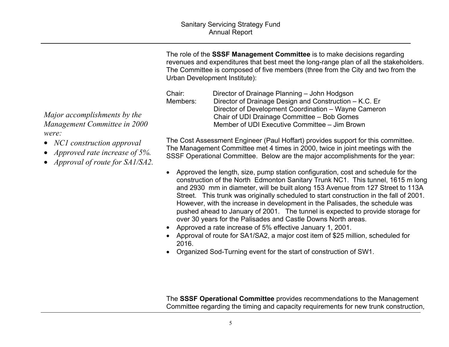The role of the **SSSF Management Committee** is to make decisions regarding revenues and expenditures that best meet the long-range plan of all the stakeholders. The Committee is composed of five members (three from the City and two from the Urban Development Institute):

Chair: Director of Drainage Planning – John Hodgson Members: Director of Drainage Design and Construction – K.C. Er Director of Development Coordination – Wayne Cameron Chair of UDI Drainage Committee – Bob Gomes Member of UDI Executive Committee – Jim Brown

 The Cost Assessment Engineer (Paul Hoffart) provides support for this committee. The Management Committee met 4 times in 2000, twice in joint meetings with the SSSF Operational Committee. Below are the major accomplishments for the year:

- Approved the length, size, pump station configuration, cost and schedule for the construction of the North Edmonton Sanitary Trunk NC1. This tunnel, 1615 m long and 2930 mm in diameter, will be built along 153 Avenue from 127 Street to 113A Street. This trunk was originally scheduled to start construction in the fall of 2001. However, with the increase in development in the Palisades, the schedule was pushed ahead to January of 2001. The tunnel is expected to provide storage for over 30 years for the Palisades and Castle Downs North areas.
- Approved a rate increase of 5% effective January 1, 2001.
- Approval of route for SA1/SA2, a major cost item of \$25 million, scheduled for 2016.
- Organized Sod-Turning event for the start of construction of SW1.

The **SSSF Operational Committee** provides recommendations to the Management Committee regarding the timing and capacity requirements for new trunk construction,

*Major accomplishments by the Management Committee in 2000 were:*

- *NC1 construction approval*
- *Approved rate increase of 5%.*
- *Approval of route for SA1/SA2.*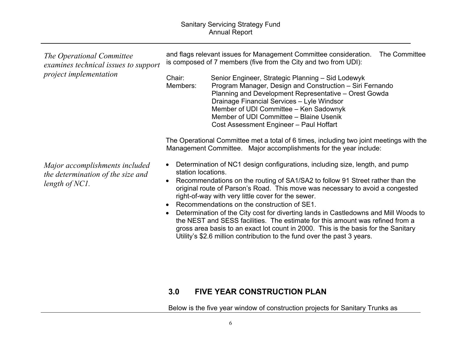| The Operational Committee<br>examines technical issues to support<br>project implementation | and flags relevant issues for Management Committee consideration.<br>The Committee<br>is composed of 7 members (five from the City and two from UDI):<br>Senior Engineer, Strategic Planning - Sid Lodewyk<br>Chair:<br>Program Manager, Design and Construction - Siri Fernando<br>Members:<br>Planning and Development Representative - Orest Gowda<br>Drainage Financial Services - Lyle Windsor<br>Member of UDI Committee - Ken Sadownyk<br>Member of UDI Committee - Blaine Usenik<br>Cost Assessment Engineer - Paul Hoffart                                                                                                                                                                                                                                                                                                                                                                                       |
|---------------------------------------------------------------------------------------------|---------------------------------------------------------------------------------------------------------------------------------------------------------------------------------------------------------------------------------------------------------------------------------------------------------------------------------------------------------------------------------------------------------------------------------------------------------------------------------------------------------------------------------------------------------------------------------------------------------------------------------------------------------------------------------------------------------------------------------------------------------------------------------------------------------------------------------------------------------------------------------------------------------------------------|
| Major accomplishments included<br>the determination of the size and<br>length of $NC1$ .    | The Operational Committee met a total of 6 times, including two joint meetings with the<br>Management Committee. Major accomplishments for the year include:<br>Determination of NC1 design configurations, including size, length, and pump<br>$\bullet$<br>station locations.<br>Recommendations on the routing of SA1/SA2 to follow 91 Street rather than the<br>$\bullet$<br>original route of Parson's Road. This move was necessary to avoid a congested<br>right-of-way with very little cover for the sewer.<br>Recommendations on the construction of SE1.<br>Determination of the City cost for diverting lands in Castledowns and Mill Woods to<br>$\bullet$<br>the NEST and SESS facilities. The estimate for this amount was refined from a<br>gross area basis to an exact lot count in 2000. This is the basis for the Sanitary<br>Utility's \$2.6 million contribution to the fund over the past 3 years. |

## **3.0 FIVE YEAR CONSTRUCTION PLAN**

Below is the five year window of construction projects for Sanitary Trunks as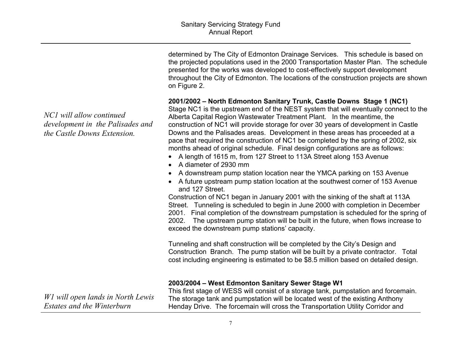determined by The City of Edmonton Drainage Services. This schedule is based on the projected populations used in the 2000 Transportation Master Plan. The schedule presented for the works was developed to cost-effectively support development throughout the City of Edmonton. The locations of the construction projects are shown on Figure 2.

### **2001/2002 – North Edmonton Sanitary Trunk, Castle Downs Stage 1 (NC1)**

Stage NC1 is the upstream end of the NEST system that will eventually connect to the Alberta Capital Region Wastewater Treatment Plant. In the meantime, the construction of NC1 will provide storage for over 30 years of development in Castle Downs and the Palisades areas. Development in these areas has proceeded at a pace that required the construction of NC1 be completed by the spring of 2002, six months ahead of original schedule. Final design configurations are as follows:

- A length of 1615 m, from 127 Street to 113A Street along 153 Avenue
- A diameter of 2930 mm
- A downstream pump station location near the YMCA parking on 153 Avenue
- A future upstream pump station location at the southwest corner of 153 Avenue and 127 Street.

Construction of NC1 began in January 2001 with the sinking of the shaft at 113A Street. Tunneling is scheduled to begin in June 2000 with completion in December 2001. Final completion of the downstream pumpstation is scheduled for the spring of 2002. The upstream pump station will be built in the future, when flows increase to exceed the downstream pump stations' capacity.

Tunneling and shaft construction will be completed by the City's Design and Construction Branch. The pump station will be built by a private contractor. Total cost including engineering is estimated to be \$8.5 million based on detailed design.

|                                   | 2003/2004 – West Edmonton Sanitary Sewer Stage W1                                   |
|-----------------------------------|-------------------------------------------------------------------------------------|
|                                   | This first stage of WESS will consist of a storage tank, pumpstation and forcemain. |
| WI will open lands in North Lewis | The storage tank and pumpstation will be located west of the existing Anthony       |
| Estates and the Winterburn        | Henday Drive. The forcemain will cross the Transportation Utility Corridor and      |

*NC1 will allow continued development in the Palisades and the Castle Downs Extension.*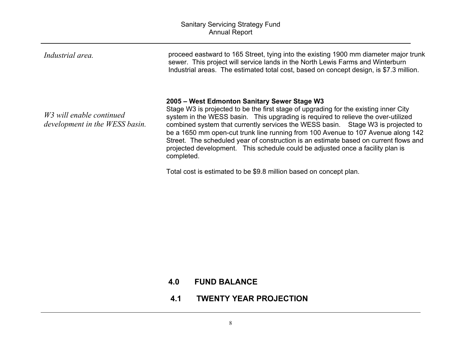| 2005 – West Edmonton Sanitary Sewer Stage W3<br>Stage W3 is projected to be the first stage of upgrading for the existing inner City<br>W3 will enable continued<br>system in the WESS basin. This upgrading is required to relieve the over-utilized<br>development in the WESS basin. | Industrial area. | proceed eastward to 165 Street, tying into the existing 1900 mm diameter major trunk<br>sewer. This project will service lands in the North Lewis Farms and Winterburn<br>Industrial areas. The estimated total cost, based on concept design, is \$7.3 million. |
|-----------------------------------------------------------------------------------------------------------------------------------------------------------------------------------------------------------------------------------------------------------------------------------------|------------------|------------------------------------------------------------------------------------------------------------------------------------------------------------------------------------------------------------------------------------------------------------------|
| projected development. This schedule could be adjusted once a facility plan is<br>completed.                                                                                                                                                                                            |                  | combined system that currently services the WESS basin. Stage W3 is projected to<br>be a 1650 mm open-cut trunk line running from 100 Avenue to 107 Avenue along 142<br>Street. The scheduled year of construction is an estimate based on current flows and     |

Total cost is estimated to be \$9.8 million based on concept plan.

### **4.0 FUND BALANCE**

**4.1 TWENTY YEAR PROJECTION**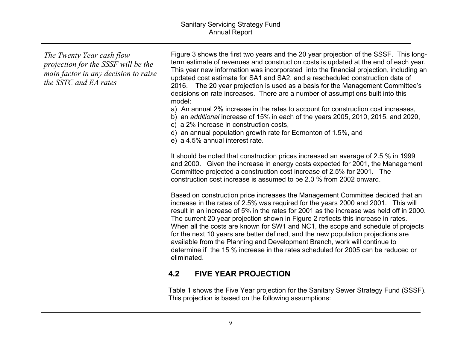*The Twenty Year cash flow projection for the SSSF will be the main factor in any decision to raise the SSTC and EA rates*

Figure 3 shows the first two years and the 20 year projection of the SSSF. This longterm estimate of revenues and construction costs is updated at the end of each year. This year new information was incorporated into the financial projection, including an updated cost estimate for SA1 and SA2, and a rescheduled construction date of 2016. The 20 year projection is used as a basis for the Management Committee's decisions on rate increases. There are a number of assumptions built into this model:

a) An annual 2% increase in the rates to account for construction cost increases,

b) an *additional* increase of 15% in each of the years 2005, 2010, 2015, and 2020,

c) a 2% increase in construction costs,

d) an annual population growth rate for Edmonton of 1.5%, and

e) a 4.5% annual interest rate.

It should be noted that construction prices increased an average of 2.5 % in 1999 and 2000. Given the increase in energy costs expected for 2001, the Management Committee projected a construction cost increase of 2.5% for 2001. The construction cost increase is assumed to be 2.0 % from 2002 onward.

Based on construction price increases the Management Committee decided that an increase in the rates of 2.5% was required for the years 2000 and 2001. This will result in an increase of 5% in the rates for 2001 as the increase was held off in 2000. The current 20 year projection shown in Figure 2 reflects this increase in rates. When all the costs are known for SW1 and NC1, the scope and schedule of projects for the next 10 years are better defined, and the new population projections are available from the Planning and Development Branch, work will continue to determine if the 15 % increase in the rates scheduled for 2005 can be reduced or eliminated.

### **4.2 FIVE YEAR PROJECTION**

Table 1 shows the Five Year projection for the Sanitary Sewer Strategy Fund (SSSF). This projection is based on the following assumptions: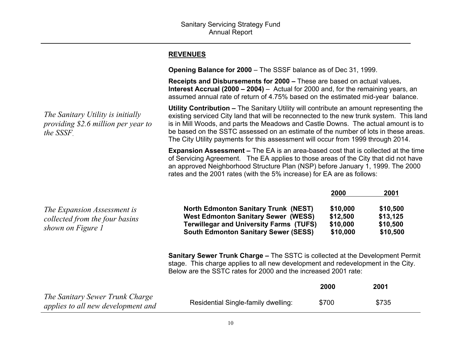### **REVENUES**

**Opening Balance for 2000** – The SSSF balance as of Dec 31, 1999.

**Receipts and Disbursements for 2000 –** These are based on actual values**. Interest Accrual (2000 – 2004)** – Actual for 2000 and, for the remaining years, an assumed annual rate of return of 4.75% based on the estimated mid-year balance.

**Utility Contribution –** The Sanitary Utility will contribute an amount representing the existing serviced City land that will be reconnected to the new trunk system. This land is in Mill Woods, and parts the Meadows and Castle Downs. The actual amount is to be based on the SSTC assessed on an estimate of the number of lots in these areas. The City Utility payments for this assessment will occur from 1999 through 2014.

**Expansion Assessment –** The EA is an area-based cost that is collected at the time of Servicing Agreement. The EA applies to those areas of the City that did not have an approved Neighborhood Structure Plan (NSP) before January 1, 1999. The 2000 rates and the 2001 rates (with the 5% increase) for EA are as follows:

|                                                | 2000     | 2001     |
|------------------------------------------------|----------|----------|
| <b>North Edmonton Sanitary Trunk (NEST)</b>    | \$10,000 | \$10,500 |
| <b>West Edmonton Sanitary Sewer (WESS)</b>     | \$12,500 | \$13,125 |
| <b>Terwillegar and University Farms (TUFS)</b> | \$10,000 | \$10,500 |
| <b>South Edmonton Sanitary Sewer (SESS)</b>    | \$10,000 | \$10,500 |
|                                                |          |          |

**Sanitary Sewer Trunk Charge –** The SSTC is collected at the Development Permit stage. This charge applies to all new development and redevelopment in the City. Below are the SSTC rates for 2000 and the increased 2001 rate:

|                                                                       |                                     | 2000  | 2001  |
|-----------------------------------------------------------------------|-------------------------------------|-------|-------|
| The Sanitary Sewer Trunk Charge<br>applies to all new development and | Residential Single-family dwelling: | \$700 | \$735 |

*The Sanitary Utility is initially providing \$2.6 million per year to the SSSF*.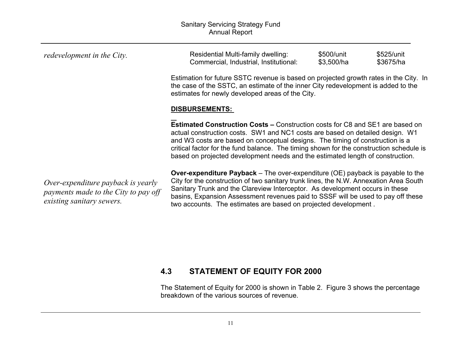| redevelopment in the City.                                                                              | Residential Multi-family dwelling:<br>Commercial, Industrial, Institutional:                                                                                                                                                                                                                                                                                                                                                        | \$500/unit<br>\$3,500/ha | \$525/unit<br>\$3675/ha |
|---------------------------------------------------------------------------------------------------------|-------------------------------------------------------------------------------------------------------------------------------------------------------------------------------------------------------------------------------------------------------------------------------------------------------------------------------------------------------------------------------------------------------------------------------------|--------------------------|-------------------------|
|                                                                                                         | Estimation for future SSTC revenue is based on projected growth rates in the City. In<br>the case of the SSTC, an estimate of the inner City redevelopment is added to the<br>estimates for newly developed areas of the City.                                                                                                                                                                                                      |                          |                         |
|                                                                                                         | <b>DISBURSEMENTS:</b>                                                                                                                                                                                                                                                                                                                                                                                                               |                          |                         |
|                                                                                                         | <b>Estimated Construction Costs – Construction costs for C8 and SE1 are based on</b><br>actual construction costs. SW1 and NC1 costs are based on detailed design. W1<br>and W3 costs are based on conceptual designs. The timing of construction is a<br>critical factor for the fund balance. The timing shown for the construction schedule is<br>based on projected development needs and the estimated length of construction. |                          |                         |
| Over-expenditure payback is yearly<br>payments made to the City to pay off<br>existing sanitary sewers. | <b>Over-expenditure Payback</b> – The over-expenditure (OE) payback is payable to the<br>City for the construction of two sanitary trunk lines, the N.W. Annexation Area South<br>Sanitary Trunk and the Clareview Interceptor. As development occurs in these<br>basins, Expansion Assessment revenues paid to SSSF will be used to pay off these<br>two accounts. The estimates are based on projected development.               |                          |                         |

### **4.3 STATEMENT OF EQUITY FOR 2000**

The Statement of Equity for 2000 is shown in Table 2. Figure 3 shows the percentage breakdown of the various sources of revenue.